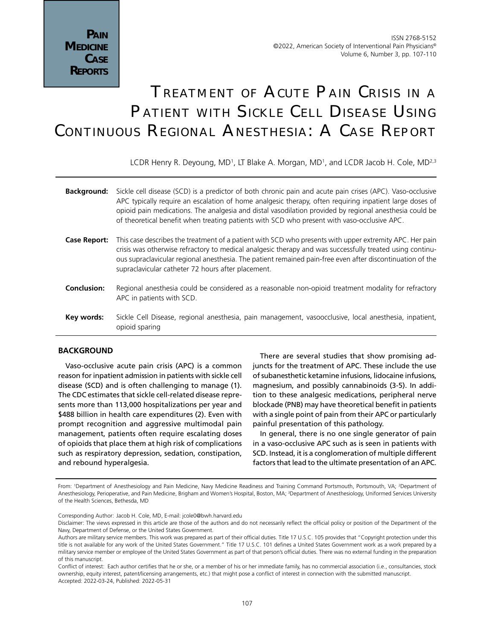# Treatment of Acute Pain Crisis in <sup>a</sup> Patient with Sickle Cell Disease Using CONTINUOUS REGIONAL ANESTHESIA: A CASE REPORT

LCDR Henry R. Deyoung, MD<sup>1</sup>, LT Blake A. Morgan, MD<sup>1</sup>, and LCDR Jacob H. Cole, MD<sup>2,3</sup>

| <b>Background:</b> | Sickle cell disease (SCD) is a predictor of both chronic pain and acute pain crises (APC). Vaso-occlusive<br>APC typically require an escalation of home analgesic therapy, often requiring inpatient large doses of<br>opioid pain medications. The analgesia and distal vasodilation provided by regional anesthesia could be<br>of theoretical benefit when treating patients with SCD who present with vaso-occlusive APC. |
|--------------------|--------------------------------------------------------------------------------------------------------------------------------------------------------------------------------------------------------------------------------------------------------------------------------------------------------------------------------------------------------------------------------------------------------------------------------|
| Case Report:       | This case describes the treatment of a patient with SCD who presents with upper extremity APC. Her pain<br>crisis was otherwise refractory to medical analgesic therapy and was successfully treated using continu-<br>ous supraclavicular regional anesthesia. The patient remained pain-free even after discontinuation of the<br>supraclavicular catheter 72 hours after placement.                                         |
| <b>Conclusion:</b> | Regional anesthesia could be considered as a reasonable non-opioid treatment modality for refractory<br>APC in patients with SCD.                                                                                                                                                                                                                                                                                              |
| Key words:         | Sickle Cell Disease, regional anesthesia, pain management, vasoocclusive, local anesthesia, inpatient,<br>opioid sparing                                                                                                                                                                                                                                                                                                       |
|                    |                                                                                                                                                                                                                                                                                                                                                                                                                                |

# **BACKGROUND**

Vaso-occlusive acute pain crisis (APC) is a common reason for inpatient admission in patients with sickle cell disease (SCD) and is often challenging to manage (1). The CDC estimates that sickle cell-related disease represents more than 113,000 hospitalizations per year and \$488 billion in health care expenditures (2). Even with prompt recognition and aggressive multimodal pain management, patients often require escalating doses of opioids that place them at high risk of complications such as respiratory depression, sedation, constipation, and rebound hyperalgesia.

There are several studies that show promising adjuncts for the treatment of APC. These include the use of subanesthetic ketamine infusions, lidocaine infusions, magnesium, and possibly cannabinoids (3-5). In addition to these analgesic medications, peripheral nerve blockade (PNB) may have theoretical benefit in patients with a single point of pain from their APC or particularly painful presentation of this pathology.

In general, there is no one single generator of pain in a vaso-occlusive APC such as is seen in patients with SCD. Instead, it is a conglomeration of multiple different factors that lead to the ultimate presentation of an APC.

From: 'Department of Anesthesiology and Pain Medicine, Navy Medicine Readiness and Training Command Portsmouth, Portsmouth, VA; <sup>2</sup>Department of Anesthesiology, Perioperative, and Pain Medicine, Brigham and Women's Hospital, Boston, MA; 3 Department of Anesthesiology, Uniformed Services University of the Health Sciences, Bethesda, MD

Corresponding Author: Jacob H. Cole, MD, E-mail: jcole0@bwh.harvard.edu

Disclaimer: The views expressed in this article are those of the authors and do not necessarily reflect the official policy or position of the Department of the Navy, Department of Defense, or the United States Government.

Authors are military service members. This work was prepared as part of their official duties. Title 17 U.S.C. 105 provides that "Copyright protection under this title is not available for any work of the United States Government." Title 17 U.S.C. 101 defines a United States Government work as a work prepared by a military service member or employee of the United States Government as part of that person's official duties. There was no external funding in the preparation of this manuscript.

Conflict of interest: Each author certifies that he or she, or a member of his or her immediate family, has no commercial association (i.e., consultancies, stock ownership, equity interest, patent/licensing arrangements, etc.) that might pose a conflict of interest in connection with the submitted manuscript. Accepted: 2022-03-24, Published: 2022-05-31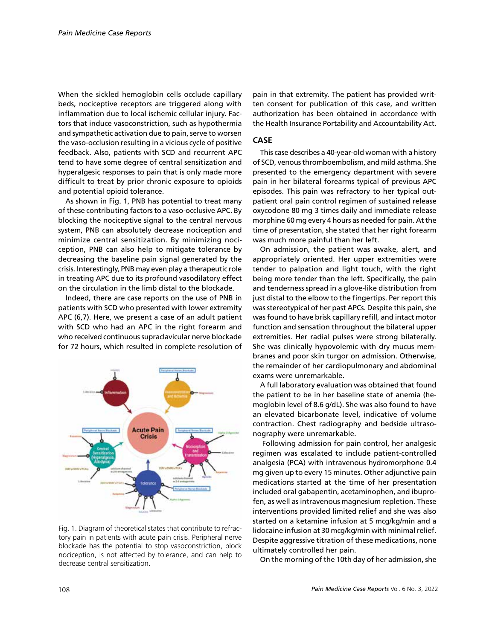When the sickled hemoglobin cells occlude capillary beds, nociceptive receptors are triggered along with inflammation due to local ischemic cellular injury. Factors that induce vasoconstriction, such as hypothermia and sympathetic activation due to pain, serve to worsen the vaso-occlusion resulting in a vicious cycle of positive feedback. Also, patients with SCD and recurrent APC tend to have some degree of central sensitization and hyperalgesic responses to pain that is only made more difficult to treat by prior chronic exposure to opioids and potential opioid tolerance.

As shown in Fig. 1, PNB has potential to treat many of these contributing factors to a vaso-occlusive APC. By blocking the nociceptive signal to the central nervous system, PNB can absolutely decrease nociception and minimize central sensitization. By minimizing nociception, PNB can also help to mitigate tolerance by decreasing the baseline pain signal generated by the crisis. Interestingly, PNB may even play a therapeutic role in treating APC due to its profound vasodilatory effect on the circulation in the limb distal to the blockade.

Indeed, there are case reports on the use of PNB in patients with SCD who presented with lower extremity APC (6,7). Here, we present a case of an adult patient with SCD who had an APC in the right forearm and who received continuous supraclavicular nerve blockade for 72 hours, which resulted in complete resolution of



Fig. 1. Diagram of theoretical states that contribute to refractory pain in patients with acute pain crisis. Peripheral nerve blockade has the potential to stop vasoconstriction, block nociception, is not affected by tolerance, and can help to decrease central sensitization.

pain in that extremity. The patient has provided written consent for publication of this case, and written authorization has been obtained in accordance with the Health Insurance Portability and Accountability Act.

## **CASE**

This case describes a 40-year-old woman with a history of SCD, venous thromboembolism, and mild asthma. She presented to the emergency department with severe pain in her bilateral forearms typical of previous APC episodes. This pain was refractory to her typical outpatient oral pain control regimen of sustained release oxycodone 80 mg 3 times daily and immediate release morphine 60 mg every 4 hours as needed for pain. At the time of presentation, she stated that her right forearm was much more painful than her left.

On admission, the patient was awake, alert, and appropriately oriented. Her upper extremities were tender to palpation and light touch, with the right being more tender than the left. Specifically, the pain and tenderness spread in a glove-like distribution from just distal to the elbow to the fingertips. Per report this was stereotypical of her past APCs. Despite this pain, she was found to have brisk capillary refill, and intact motor function and sensation throughout the bilateral upper extremities. Her radial pulses were strong bilaterally. She was clinically hypovolemic with dry mucus membranes and poor skin turgor on admission. Otherwise, the remainder of her cardiopulmonary and abdominal exams were unremarkable.

A full laboratory evaluation was obtained that found the patient to be in her baseline state of anemia (hemoglobin level of 8.6 g/dL). She was also found to have an elevated bicarbonate level, indicative of volume contraction. Chest radiography and bedside ultrasonography were unremarkable.

 Following admission for pain control, her analgesic regimen was escalated to include patient-controlled analgesia (PCA) with intravenous hydromorphone 0.4 mg given up to every 15 minutes. Other adjunctive pain medications started at the time of her presentation included oral gabapentin, acetaminophen, and ibuprofen, as well as intravenous magnesium repletion. These interventions provided limited relief and she was also started on a ketamine infusion at 5 mcg/kg/min and a lidocaine infusion at 30 mcg/kg/min with minimal relief. Despite aggressive titration of these medications, none ultimately controlled her pain.

On the morning of the 10th day of her admission, she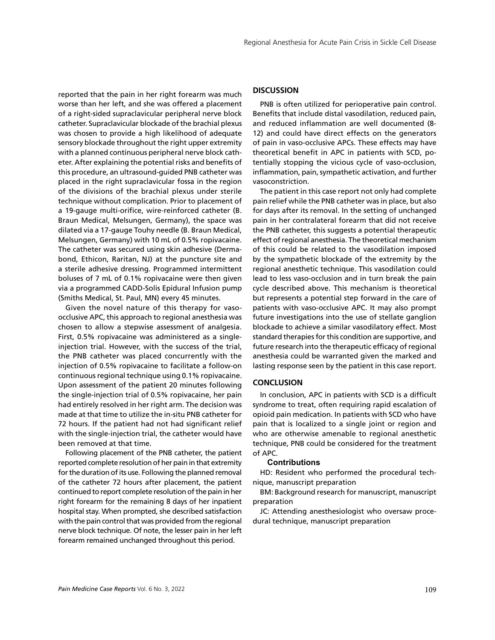reported that the pain in her right forearm was much worse than her left, and she was offered a placement of a right-sided supraclavicular peripheral nerve block catheter. Supraclavicular blockade of the brachial plexus was chosen to provide a high likelihood of adequate sensory blockade throughout the right upper extremity with a planned continuous peripheral nerve block catheter. After explaining the potential risks and benefits of this procedure, an ultrasound-guided PNB catheter was placed in the right supraclavicular fossa in the region of the divisions of the brachial plexus under sterile technique without complication. Prior to placement of a 19-gauge multi-orifice, wire-reinforced catheter (B. Braun Medical, Melsungen, Germany), the space was dilated via a 17-gauge Touhy needle (B. Braun Medical, Melsungen, Germany) with 10 mL of 0.5% ropivacaine. The catheter was secured using skin adhesive (Dermabond, Ethicon, Raritan, NJ) at the puncture site and a sterile adhesive dressing. Programmed intermittent boluses of 7 mL of 0.1% ropivacaine were then given via a programmed CADD-Solis Epidural Infusion pump (Smiths Medical, St. Paul, MN) every 45 minutes.

Given the novel nature of this therapy for vasoocclusive APC, this approach to regional anesthesia was chosen to allow a stepwise assessment of analgesia. First, 0.5% ropivacaine was administered as a singleinjection trial. However, with the success of the trial, the PNB catheter was placed concurrently with the injection of 0.5% ropivacaine to facilitate a follow-on continuous regional technique using 0.1% ropivacaine. Upon assessment of the patient 20 minutes following the single-injection trial of 0.5% ropivacaine, her pain had entirely resolved in her right arm. The decision was made at that time to utilize the in-situ PNB catheter for 72 hours. If the patient had not had significant relief with the single-injection trial, the catheter would have been removed at that time.

Following placement of the PNB catheter, the patient reported complete resolution of her pain in that extremity for the duration of its use. Following the planned removal of the catheter 72 hours after placement, the patient continued to report complete resolution of the pain in her right forearm for the remaining 8 days of her inpatient hospital stay. When prompted, she described satisfaction with the pain control that was provided from the regional nerve block technique. Of note, the lesser pain in her left forearm remained unchanged throughout this period.

#### **DISCUSSION**

PNB is often utilized for perioperative pain control. Benefits that include distal vasodilation, reduced pain, and reduced inflammation are well documented (8- 12) and could have direct effects on the generators of pain in vaso-occlusive APCs. These effects may have theoretical benefit in APC in patients with SCD, potentially stopping the vicious cycle of vaso-occlusion, inflammation, pain, sympathetic activation, and further vasoconstriction.

The patient in this case report not only had complete pain relief while the PNB catheter was in place, but also for days after its removal. In the setting of unchanged pain in her contralateral forearm that did not receive the PNB catheter, this suggests a potential therapeutic effect of regional anesthesia. The theoretical mechanism of this could be related to the vasodilation imposed by the sympathetic blockade of the extremity by the regional anesthetic technique. This vasodilation could lead to less vaso-occlusion and in turn break the pain cycle described above. This mechanism is theoretical but represents a potential step forward in the care of patients with vaso-occlusive APC. It may also prompt future investigations into the use of stellate ganglion blockade to achieve a similar vasodilatory effect. Most standard therapies for this condition are supportive, and future research into the therapeutic efficacy of regional anesthesia could be warranted given the marked and lasting response seen by the patient in this case report.

## **CONCLUSION**

In conclusion, APC in patients with SCD is a difficult syndrome to treat, often requiring rapid escalation of opioid pain medication. In patients with SCD who have pain that is localized to a single joint or region and who are otherwise amenable to regional anesthetic technique, PNB could be considered for the treatment of APC.

#### **Contributions**

HD: Resident who performed the procedural technique, manuscript preparation

BM: Background research for manuscript, manuscript preparation

JC: Attending anesthesiologist who oversaw procedural technique, manuscript preparation